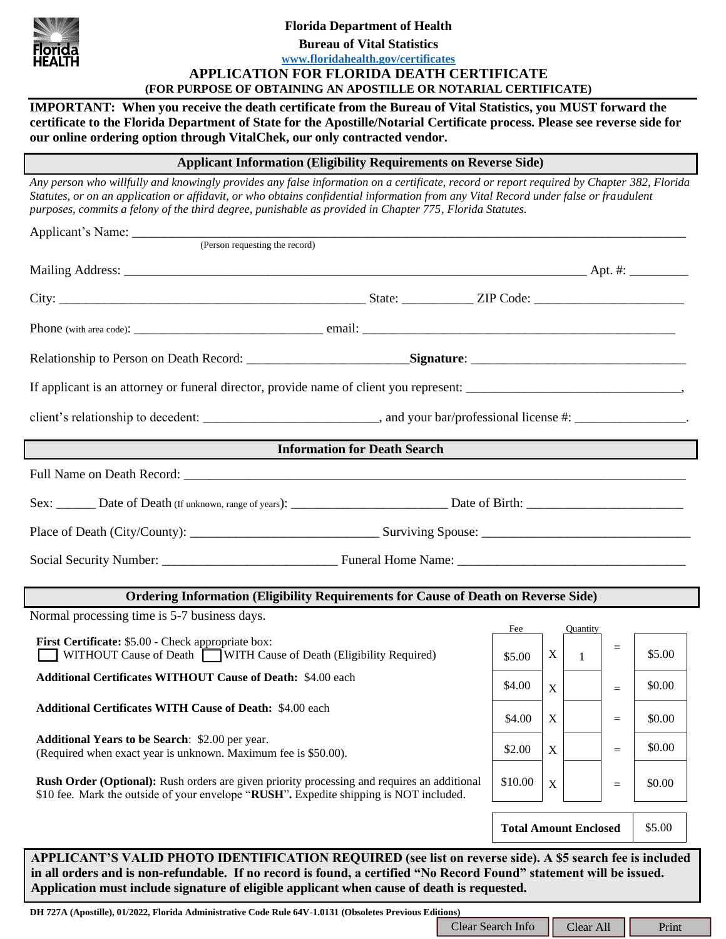

# **Florida Department of Health**

**Bureau of Vital Statistics**

## **[www.floridahealth.gov/certificates](http://www.floridahealth.gov/certificates) APPLICATION FOR FLORIDA DEATH CERTIFICATE (FOR PURPOSE OF OBTAINING AN APOSTILLE OR NOTARIAL CERTIFICATE)**

**IMPORTANT: When you receive the death certificate from the Bureau of Vital Statistics, you MUST forward the certificate to the Florida Department of State for the Apostille/Notarial Certificate process. Please see reverse side for our online ordering option through VitalChek, our only contracted vendor.**

**Applicant Information (Eligibility Requirements on Reverse Side)**

*Any person who willfully and knowingly provides any false information on a certificate, record or report required by Chapter 382, Florida Statutes, or on an application or affidavit, or who obtains confidential information from any Vital Record under false or fraudulent purposes, commits a felony of the third degree, punishable as provided in Chapter 775, Florida Statutes.*

|                                                                                                                                                                                                                                                                                                                               | client's relationship to decedent: ________________________________, and your bar/professional license #: ____________________. |               |                  |                            |                 |        |  |
|-------------------------------------------------------------------------------------------------------------------------------------------------------------------------------------------------------------------------------------------------------------------------------------------------------------------------------|---------------------------------------------------------------------------------------------------------------------------------|---------------|------------------|----------------------------|-----------------|--------|--|
| <b>Information for Death Search</b>                                                                                                                                                                                                                                                                                           |                                                                                                                                 |               |                  |                            |                 |        |  |
|                                                                                                                                                                                                                                                                                                                               |                                                                                                                                 |               |                  |                            |                 |        |  |
|                                                                                                                                                                                                                                                                                                                               |                                                                                                                                 |               |                  |                            |                 |        |  |
|                                                                                                                                                                                                                                                                                                                               |                                                                                                                                 |               |                  |                            |                 |        |  |
|                                                                                                                                                                                                                                                                                                                               |                                                                                                                                 |               |                  |                            |                 |        |  |
| Ordering Information (Eligibility Requirements for Cause of Death on Reverse Side)                                                                                                                                                                                                                                            |                                                                                                                                 |               |                  |                            |                 |        |  |
| Normal processing time is 5-7 business days.                                                                                                                                                                                                                                                                                  |                                                                                                                                 |               |                  |                            |                 |        |  |
| First Certificate: \$5.00 - Check appropriate box:<br>WITHOUT Cause of Death WITH Cause of Death (Eligibility Required)                                                                                                                                                                                                       |                                                                                                                                 | Fee<br>\$5.00 | X                | Quantity<br>$\overline{1}$ | $\equiv$        | \$5.00 |  |
| Additional Certificates WITHOUT Cause of Death: \$4.00 each                                                                                                                                                                                                                                                                   |                                                                                                                                 | \$4.00        | X                |                            | $=$             | \$0.00 |  |
| Additional Certificates WITH Cause of Death: \$4.00 each                                                                                                                                                                                                                                                                      |                                                                                                                                 | \$4.00        | X                |                            | $=$             | \$0.00 |  |
|                                                                                                                                                                                                                                                                                                                               |                                                                                                                                 |               |                  |                            |                 |        |  |
| <b>Additional Years to be Search:</b> \$2.00 per year.<br>(Required when exact year is unknown. Maximum fee is \$50.00).                                                                                                                                                                                                      |                                                                                                                                 | \$2.00        | $\mathbf X$      |                            | $=$             | \$0.00 |  |
| <b>Rush Order (Optional):</b> Rush orders are given priority processing and requires an additional<br>\$10 fee. Mark the outside of your envelope "RUSH". Expedite shipping is NOT included.                                                                                                                                  |                                                                                                                                 | \$10.00       | $\boldsymbol{X}$ |                            | $\quad \  \  =$ | \$0.00 |  |
|                                                                                                                                                                                                                                                                                                                               | <b>Total Amount Enclosed</b>                                                                                                    |               |                  |                            | \$5.00          |        |  |
| APPLICANT'S VALID PHOTO IDENTIFICATION REQUIRED (see list on reverse side). A \$5 search fee is included<br>in all orders and is non-refundable. If no record is found, a certified "No Record Found" statement will be issued.<br>Application must include signature of eligible applicant when cause of death is requested. |                                                                                                                                 |               |                  |                            |                 |        |  |
| DH 727A (Apostille), 01/2022, Florida Administrative Code Rule 64V-1.0131 (Obsoletes Previous Editions)                                                                                                                                                                                                                       | Print<br>Clear Search Info<br>Clear All                                                                                         |               |                  |                            |                 |        |  |